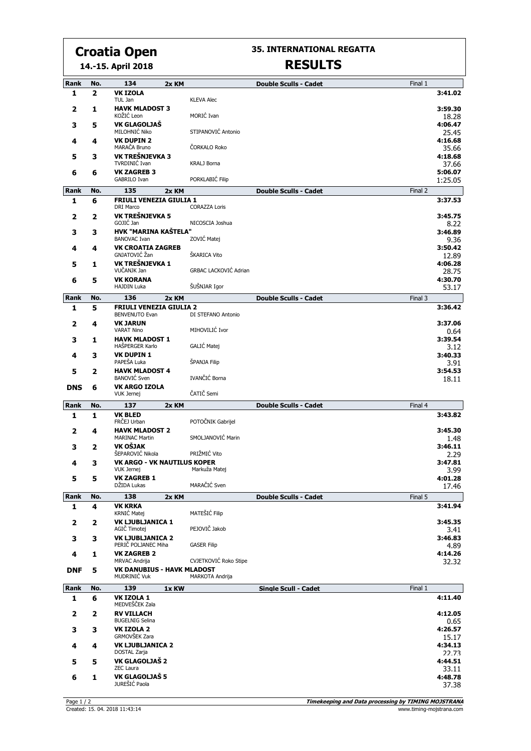# **Croatia Open**

**35. INTERNATIONAL REGATTA RESULTS**

## **14.-15. April 2018**

|                         |                         | 7. 19. april 2010                                       |       |                       |                              |         |                    |
|-------------------------|-------------------------|---------------------------------------------------------|-------|-----------------------|------------------------------|---------|--------------------|
| Rank                    | No.                     | 134                                                     | 2x KM |                       | <b>Double Sculls - Cadet</b> | Final 1 |                    |
| 1                       | $\overline{2}$          | <b>VK IZOLA</b><br>TUL Jan                              |       | <b>KLEVA Alec</b>     |                              |         | 3:41.02            |
| 2                       | 1                       | <b>HAVK MLADOST 3</b><br>KOŽIĆ Leon                     |       | MORIĆ Ivan            |                              |         | 3:59.30<br>18.28   |
| з                       | 5                       | VK GLAGOLJAŠ<br>MILOHNIĆ Niko                           |       | STIPANOVIĆ Antonio    |                              |         | 4:06.47<br>25.45   |
| 4                       | 4                       | <b>VK DUPIN 2</b><br>MARAČA Bruno                       |       | ČORKALO Roko          |                              |         | 4:16.68<br>35.66   |
| 5                       | 3                       | VK TREŠNJEVKA 3<br>TVRDINIĆ Ivan                        |       | KRALJ Borna           |                              |         | 4:18.68<br>37.66   |
| 6                       | 6                       | <b>VK ZAGREB 3</b><br>GABRILO Ivan                      |       | PORKLABIĆ Filip       |                              |         | 5:06.07<br>1:25.05 |
| <b>Rank</b>             | No.                     | 135                                                     | 2x KM |                       | <b>Double Sculls - Cadet</b> | Final 2 |                    |
| 1                       | 6                       | <b>FRIULI VENEZIA GIULIA 1</b><br><b>DRI Marco</b>      |       | <b>CORAZZA Loris</b>  |                              |         | 3:37.53            |
| 2                       | $\overline{\mathbf{z}}$ | VK TREŠNJEVKA 5<br>GOJIĆ Jan                            |       | NICOSCIA Joshua       |                              |         | 3:45.75<br>8.22    |
| 3                       | 3                       | HVK "MARINA KAŠTELA"<br><b>BANOVAC Ivan</b>             |       | ZOVIĆ Matej           |                              |         | 3:46.89<br>9.36    |
| 4                       | 4                       | <b>VK CROATIA ZAGREB</b><br>GNJATOVIĆ Žan               |       | ŠKARICA Vito          |                              |         | 3:50.42<br>12.89   |
| 5                       | 1                       | VK TREŠNJEVKA 1<br>VUČANJK Jan                          |       | GRBAC LACKOVIĆ Adrian |                              |         | 4:06.28<br>28.75   |
| 6                       | 5                       | <b>VK KORANA</b><br><b>HAJDIN Luka</b>                  |       | ŠUŠNJAR Igor          |                              |         | 4:30.70<br>53.17   |
| Rank                    | No.                     | 136                                                     | 2x KM |                       | <b>Double Sculls - Cadet</b> | Final 3 |                    |
| 1                       | 5                       | <b>FRIULI VENEZIA GIULIA 2</b><br><b>BENVENUTO Evan</b> |       | DI STEFANO Antonio    |                              |         | 3:36.42            |
| $\overline{\mathbf{2}}$ | 4                       | <b>VK JARUN</b><br><b>VARAT Nino</b>                    |       | MIHOVILIĆ Ivor        |                              |         | 3:37.06<br>0.64    |
| з                       | 1                       | <b>HAVK MLADOST 1</b><br>HAŠPERGER Karlo                |       | GALIĆ Matej           |                              |         | 3:39.54<br>3.12    |
| 4                       | 3                       | <b>VK DUPIN 1</b><br>PAPEŠA Luka                        |       | ŠPANJA Filip          |                              |         | 3:40.33<br>3.91    |
| 5                       | 2                       | <b>HAVK MLADOST 4</b><br><b>BANOVIC</b> Sven            |       | IVANČIĆ Borna         |                              |         | 3:54.53<br>18.11   |
| <b>DNS</b>              | 6                       | <b>VK ARGO IZOLA</b><br><b>VUK Jernej</b>               |       | ČATIČ Semi            |                              |         |                    |
| <b>Rank</b>             | No.                     | 137                                                     | 2x KM |                       | <b>Double Sculls - Cadet</b> | Final 4 |                    |
| 1                       | 1                       | <b>VK BLED</b><br>FRČEJ Urban                           |       | POTOČNIK Gabrijel     |                              |         | 3:43.82            |
| $\overline{\mathbf{2}}$ | 4                       | <b>HAVK MLADOST 2</b><br><b>MARINAC Martin</b>          |       | SMOLJANOVIĆ Marin     |                              |         | 3:45.30<br>1.48    |
| 3                       | 2                       | VK OŠJAK<br>ŠEPAROVIĆ Nikola                            |       | PRIŽMIĆ Vito          |                              |         | 3:46.11<br>2.29    |
| 4                       | 3                       | <b>VK ARGO - VK NAUTILUS KOPER</b><br><b>VUK Jernei</b> |       | Markuža Matej         |                              |         | 3:47.81<br>3.99    |
| 5                       | 5                       | <b>VK ZAGREB 1</b><br>DŽIDA Lukas                       |       | MARAČIĆ Sven          |                              |         | 4:01.28<br>17.46   |
| Rank                    | No.                     | 138                                                     | 2x KM |                       | <b>Double Sculls - Cadet</b> | Final 5 |                    |
| 1                       | 4                       | <b>VK KRKA</b><br>KRNIĆ Matej                           |       | MATEŠIĆ Filip         |                              |         | 3:41.94            |
| 2                       | 2                       | <b>VK LJUBLJANICA 1</b><br>AGIČ Timotej                 |       | PEJOVIČ Jakob         |                              |         | 3:45.35<br>3.41    |

|            | б   | <b>VK 1701 A 1</b>                                       |                        |                             |         | 4:11.40          |
|------------|-----|----------------------------------------------------------|------------------------|-----------------------------|---------|------------------|
| Rank       | No. | 139<br>1x KW                                             |                        | <b>Single Scull - Cadet</b> | Final 1 |                  |
| <b>DNF</b> | 5   | <b>VK DANUBIUS - HAVK MLADOST</b><br><b>MUDRINIC Vuk</b> | <b>MARKOTA Andrija</b> |                             |         |                  |
|            |     | <b>VK ZAGREB 2</b><br>MRVAC Andrija                      | CVJETKOVIĆ Roko Stipe  |                             |         | 4:14.26<br>32.32 |
|            |     | <b>VK LJUBLJANICA 2</b><br>PERIC POLJANEC Miha           | <b>GASER Filip</b>     |                             |         | 3:46.83<br>4.89  |
|            |     | <b>VK LJUBLJANICA 1</b><br>AGIC Timotej                  | PEJOVIČ Jakob          |                             |         | 3:45.35<br>3.41  |

| $\overline{2}$ | <b>RV VILLACH</b>       | 4:12.05 |
|----------------|-------------------------|---------|
| $\mathbf{2}$   | <b>BUGELNIG Selina</b>  | 0.65    |
| з              | <b>VK IZOLA 2</b>       | 4:26.57 |
| 3              | GRMOVŠEK Zara           | 15.17   |
| 4              | <b>VK LJUBLJANICA 2</b> | 4:34.13 |
| 4              | DOSTAL Zarja            | 22.73   |
| 5              | VK GLAGOLJAŠ 2          | 4:44.51 |
| 5              | <b>ZEC Laura</b>        | 33.11   |
| 6              | VK GLAGOLJAŠ 5          | 4:48.78 |
| 1              | JUREŠIĆ Paola           | 37.38   |